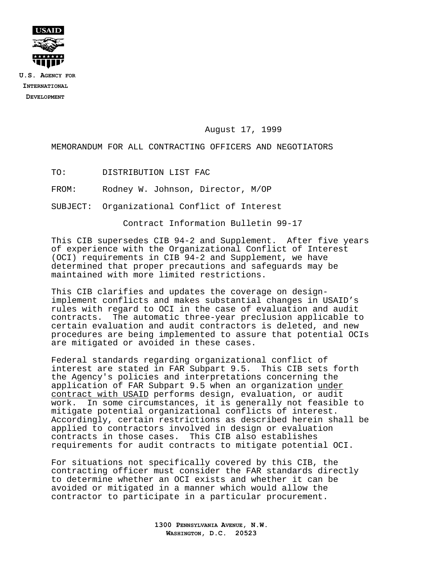

**U.S. AGENCY FOR INTERNATIONAL DEVELOPMENT**

August 17, 1999

MEMORANDUM FOR ALL CONTRACTING OFFICERS AND NEGOTIATORS

TO: DISTRIBUTION LIST FAC

FROM: Rodney W. Johnson, Director, M/OP

SUBJECT: Organizational Conflict of Interest

Contract Information Bulletin 99-17

This CIB supersedes CIB 94-2 and Supplement. After five years of experience with the Organizational Conflict of Interest (OCI) requirements in CIB 94-2 and Supplement, we have determined that proper precautions and safeguards may be maintained with more limited restrictions.

This CIB clarifies and updates the coverage on designimplement conflicts and makes substantial changes in USAID's rules with regard to OCI in the case of evaluation and audit contracts. The automatic three-year preclusion applicable to certain evaluation and audit contractors is deleted, and new procedures are being implemented to assure that potential OCIs are mitigated or avoided in these cases.

Federal standards regarding organizational conflict of interest are stated in FAR Subpart 9.5. This CIB sets forth the Agency's policies and interpretations concerning the application of FAR Subpart 9.5 when an organization under contract with USAID performs design, evaluation, or audit work. In some circumstances, it is generally not feasible to mitigate potential organizational conflicts of interest. Accordingly, certain restrictions as described herein shall be applied to contractors involved in design or evaluation contracts in those cases. This CIB also establishes requirements for audit contracts to mitigate potential OCI.

For situations not specifically covered by this CIB, the contracting officer must consider the FAR standards directly to determine whether an OCI exists and whether it can be avoided or mitigated in a manner which would allow the contractor to participate in a particular procurement.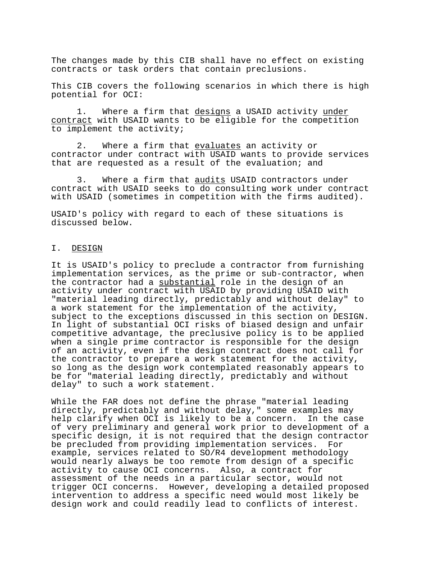The changes made by this CIB shall have no effect on existing contracts or task orders that contain preclusions.

This CIB covers the following scenarios in which there is high potential for OCI:

1. Where a firm that designs a USAID activity under contract with USAID wants to be eligible for the competition to implement the activity;

2. Where a firm that evaluates an activity or contractor under contract with USAID wants to provide services that are requested as a result of the evaluation; and

3. Where a firm that audits USAID contractors under contract with USAID seeks to do consulting work under contract with USAID (sometimes in competition with the firms audited).

USAID's policy with regard to each of these situations is discussed below.

#### I. DESIGN

It is USAID's policy to preclude a contractor from furnishing implementation services, as the prime or sub-contractor, when the contractor had a substantial role in the design of an activity under contract with USAID by providing USAID with "material leading directly, predictably and without delay" to a work statement for the implementation of the activity, subject to the exceptions discussed in this section on DESIGN. In light of substantial OCI risks of biased design and unfair competitive advantage, the preclusive policy is to be applied when a single prime contractor is responsible for the design of an activity, even if the design contract does not call for the contractor to prepare a work statement for the activity, so long as the design work contemplated reasonably appears to be for "material leading directly, predictably and without delay" to such a work statement.

While the FAR does not define the phrase "material leading directly, predictably and without delay," some examples may help clarify when OCI is likely to be a concern. In the case of very preliminary and general work prior to development of a specific design, it is not required that the design contractor be precluded from providing implementation services. For example, services related to SO/R4 development methodology would nearly always be too remote from design of a specific activity to cause OCI concerns. Also, a contract for assessment of the needs in a particular sector, would not trigger OCI concerns. However, developing a detailed proposed intervention to address a specific need would most likely be design work and could readily lead to conflicts of interest.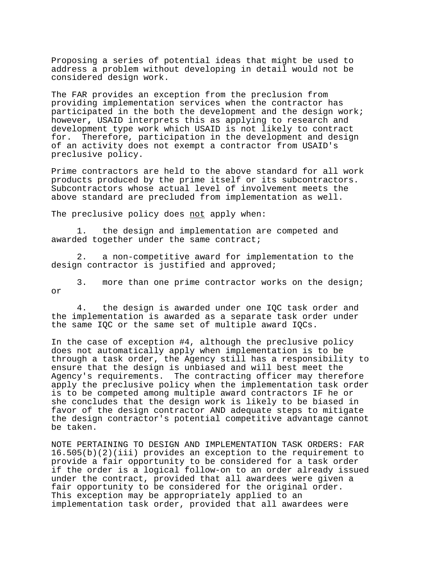Proposing a series of potential ideas that might be used to address a problem without developing in detail would not be considered design work.

The FAR provides an exception from the preclusion from providing implementation services when the contractor has participated in the both the development and the design work; however**,** USAID interprets this as applying to research and development type work which USAID is not likely to contract for. Therefore, participation in the development and design of an activity does not exempt a contractor from USAID's preclusive policy.

Prime contractors are held to the above standard for all work products produced by the prime itself or its subcontractors. Subcontractors whose actual level of involvement meets the above standard are precluded from implementation as well.

The preclusive policy does not apply when:

1. the design and implementation are competed and awarded together under the same contract;

2. a non-competitive award for implementation to the design contractor is justified and approved;

3. more than one prime contractor works on the design; or

4. the design is awarded under one IQC task order and the implementation is awarded as a separate task order under the same IQC or the same set of multiple award IQCs.

In the case of exception #4, although the preclusive policy does not automatically apply when implementation is to be through a task order, the Agency still has a responsibility to ensure that the design is unbiased and will best meet the Agency's requirements. The contracting officer may therefore apply the preclusive policy when the implementation task order is to be competed among multiple award contractors IF he or she concludes that the design work is likely to be biased in favor of the design contractor AND adequate steps to mitigate the design contractor's potential competitive advantage cannot be taken.

NOTE PERTAINING TO DESIGN AND IMPLEMENTATION TASK ORDERS: FAR 16.505(b)(2)(iii) provides an exception to the requirement to provide a fair opportunity to be considered for a task order if the order is a logical follow-on to an order already issued under the contract, provided that all awardees were given a fair opportunity to be considered for the original order. This exception may be appropriately applied to an implementation task order, provided that all awardees were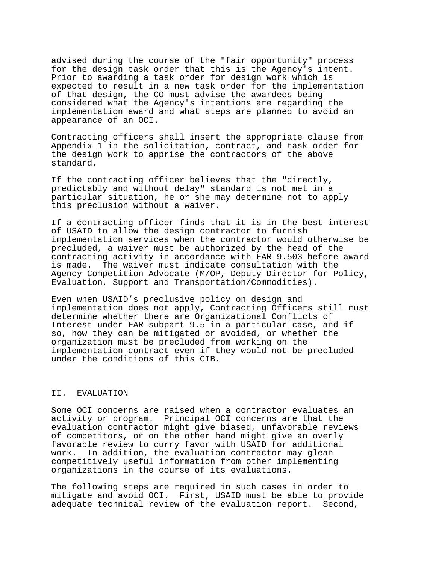advised during the course of the "fair opportunity" process for the design task order that this is the Agency's intent. Prior to awarding a task order for design work which is expected to result in a new task order for the implementation of that design, the CO must advise the awardees being considered what the Agency's intentions are regarding the implementation award and what steps are planned to avoid an appearance of an OCI.

Contracting officers shall insert the appropriate clause from Appendix 1 in the solicitation**,** contract, and task order for the design work to apprise the contractors of the above standard.

If the contracting officer believes that the "directly, predictably and without delay" standard is not met in a particular situation, he or she may determine not to apply this preclusion without a waiver.

If a contracting officer finds that it is in the best interest of USAID to allow the design contractor to furnish implementation services when the contractor would otherwise be precluded, a waiver must be authorized by the head of the contracting activity in accordance with FAR 9.503 before award is made. The waiver must indicate consultation with the Agency Competition Advocate (M/OP, Deputy Director for Policy, Evaluation, Support and Transportation/Commodities).

Even when USAID's preclusive policy on design and implementation does not apply, Contracting Officers still must determine whether there are Organizational Conflicts of Interest under FAR subpart 9.5 in a particular case, and if so, how they can be mitigated or avoided, or whether the organization must be precluded from working on the implementation contract even if they would not be precluded under the conditions of this CIB.

#### II. EVALUATION

Some OCI concerns are raised when a contractor evaluates an activity or program. Principal OCI concerns are that the evaluation contractor might give biased, unfavorable reviews of competitors, or on the other hand might give an overly favorable review to curry favor with USAID for additional work. In addition, the evaluation contractor may glean competitively useful information from other implementing organizations in the course of its evaluations.

The following steps are required in such cases in order to mitigate and avoid OCI. First, USAID must be able to provide adequate technical review of the evaluation report. Second,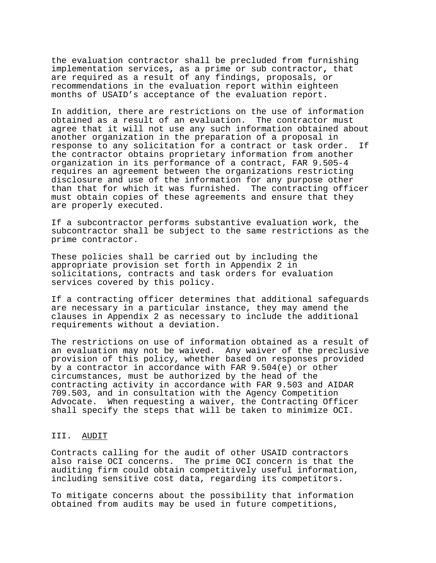the evaluation contractor shall be precluded from furnishing implementation services**,** as a prime or sub contractor**,** that are required as a result of any findings, proposals, or recommendations in the evaluation report within eighteen months of USAID's acceptance of the evaluation report.

In addition, there are restrictions on the use of information obtained as a result of an evaluation. The contractor must agree that it will not use any such information obtained about another organization in the preparation of a proposal in response to any solicitation for a contract or task order. If the contractor obtains proprietary information from another organization in its performance of a contract, FAR 9.505-4 requires an agreement between the organizations restricting disclosure and use of the information for any purpose other than that for which it was furnished. The contracting officer must obtain copies of these agreements and ensure that they are properly executed.

If a subcontractor performs substantive evaluation work, the subcontractor shall be subject to the same restrictions as the prime contractor.

These policies shall be carried out by including the appropriate provision set forth in Appendix 2 in solicitations, contracts and task orders for evaluation services covered by this policy.

If a contracting officer determines that additional safeguards are necessary in a particular instance, they may amend the clauses in Appendix 2 as necessary to include the additional requirements without a deviation.

The restrictions on use of information obtained as a result of an evaluation may not be waived. Any waiver of the preclusive provision of this policy, whether based on responses provided by a contractor in accordance with FAR 9.504(e) or other circumstances, must be authorized by the head of the contracting activity in accordance with FAR 9.503 and AIDAR 709.503, and in consultation with the Agency Competition Advocate. When requesting a waiver, the Contracting Officer shall specify the steps that will be taken to minimize OCI.

#### III. AUDIT

Contracts calling for the audit of other USAID contractors also raise OCI concerns. The prime OCI concern is that the auditing firm could obtain competitively useful information, including sensitive cost data, regarding its competitors.

To mitigate concerns about the possibility that information obtained from audits may be used in future competitions,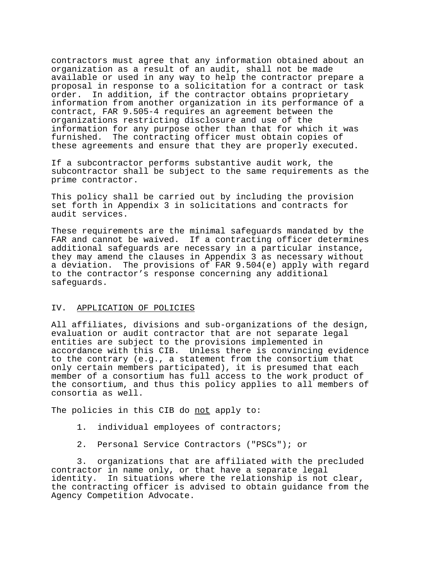contractors must agree that any information obtained about an organization as a result of an audit, shall not be made available or used in any way to help the contractor prepare a proposal in response to a solicitation for a contract or task order. In addition, if the contractor obtains proprietary information from another organization in its performance of a contract, FAR 9.505-4 requires an agreement between the organizations restricting disclosure and use of the information for any purpose other than that for which it was furnished. The contracting officer must obtain copies of these agreements and ensure that they are properly executed.

If a subcontractor performs substantive audit work, the subcontractor shall be subject to the same requirements as the prime contractor.

This policy shall be carried out by including the provision set forth in Appendix 3 in solicitations and contracts for audit services.

These requirements are the minimal safeguards mandated by the FAR and cannot be waived. If a contracting officer determines additional safeguards are necessary in a particular instance, they may amend the clauses in Appendix 3 as necessary without a deviation. The provisions of FAR 9.504(e) apply with regard to the contractor's response concerning any additional safeguards.

#### IV. APPLICATION OF POLICIES

All affiliates, divisions and sub-organizations of the design, evaluation or audit contractor that are not separate legal entities are subject to the provisions implemented in accordance with this CIB. Unless there is convincing evidence to the contrary (e.g., a statement from the consortium that only certain members participated), it is presumed that each member of a consortium has full access to the work product of the consortium, and thus this policy applies to all members of consortia as well.

The policies in this CIB do not apply to:

- 1. individual employees of contractors;
- 2. Personal Service Contractors ("PSCs"); or

3. organizations that are affiliated with the precluded contractor in name only, or that have a separate legal identity. In situations where the relationship is not clear, the contracting officer is advised to obtain guidance from the Agency Competition Advocate.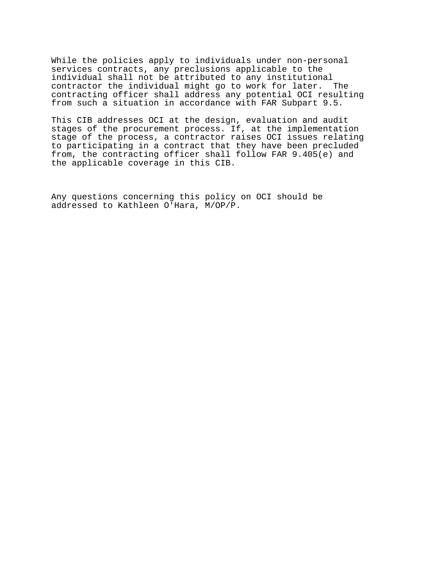While the policies apply to individuals under non-personal services contracts, any preclusions applicable to the individual shall not be attributed to any institutional contractor the individual might go to work for later. The contracting officer shall address any potential OCI resulting from such a situation in accordance with FAR Subpart 9.5.

This CIB addresses OCI at the design, evaluation and audit stages of the procurement process. If, at the implementation stage of the process, a contractor raises OCI issues relating to participating in a contract that they have been precluded from, the contracting officer shall follow FAR 9.405(e) and the applicable coverage in this CIB.

Any questions concerning this policy on OCI should be addressed to Kathleen O'Hara, M/OP/P.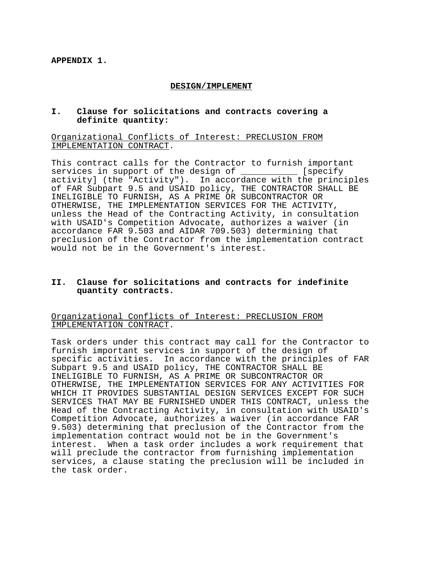## **DESIGN/IMPLEMENT**

## **I. Clause for solicitations and contracts covering a definite quantity:**

Organizational Conflicts of Interest: PRECLUSION FROM IMPLEMENTATION CONTRACT.

This contract calls for the Contractor to furnish important services in support of the design of \_\_\_\_\_\_\_\_\_\_\_ [specify activity] (the "Activity"). In accordance with the principles of FAR Subpart 9.5 and USAID policy, THE CONTRACTOR SHALL BE INELIGIBLE TO FURNISH, AS A PRIME OR SUBCONTRACTOR OR OTHERWISE, THE IMPLEMENTATION SERVICES FOR THE ACTIVITY, unless the Head of the Contracting Activity, in consultation with USAID's Competition Advocate, authorizes a waiver (in accordance FAR 9.503 and AIDAR 709.503) determining that preclusion of the Contractor from the implementation contract would not be in the Government's interest.

# **II. Clause for solicitations and contracts for indefinite quantity contracts.**

## Organizational Conflicts of Interest: PRECLUSION FROM IMPLEMENTATION CONTRACT.

Task orders under this contract may call for the Contractor to furnish important services in support of the design of specific activities. In accordance with the principles of FAR Subpart 9.5 and USAID policy, THE CONTRACTOR SHALL BE INELIGIBLE TO FURNISH, AS A PRIME OR SUBCONTRACTOR OR OTHERWISE, THE IMPLEMENTATION SERVICES FOR ANY ACTIVITIES FOR WHICH IT PROVIDES SUBSTANTIAL DESIGN SERVICES EXCEPT FOR SUCH SERVICES THAT MAY BE FURNISHED UNDER THIS CONTRACT, unless the Head of the Contracting Activity, in consultation with USAID's Competition Advocate, authorizes a waiver (in accordance FAR 9.503) determining that preclusion of the Contractor from the implementation contract would not be in the Government's interest. When a task order includes a work requirement that will preclude the contractor from furnishing implementation services, a clause stating the preclusion will be included in the task order.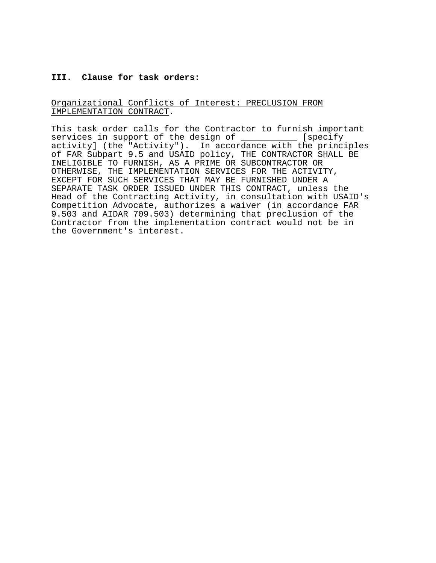## **III. Clause for task orders:**

## Organizational Conflicts of Interest: PRECLUSION FROM IMPLEMENTATION CONTRACT.

This task order calls for the Contractor to furnish important services in support of the design of \_\_\_\_\_\_\_\_\_\_\_ [specify activity] (the "Activity"). In accordance with the principles of FAR Subpart 9.5 and USAID policy, THE CONTRACTOR SHALL BE INELIGIBLE TO FURNISH, AS A PRIME OR SUBCONTRACTOR OR OTHERWISE, THE IMPLEMENTATION SERVICES FOR THE ACTIVITY, EXCEPT FOR SUCH SERVICES THAT MAY BE FURNISHED UNDER A SEPARATE TASK ORDER ISSUED UNDER THIS CONTRACT, unless the Head of the Contracting Activity, in consultation with USAID's Competition Advocate, authorizes a waiver (in accordance FAR 9.503 and AIDAR 709.503) determining that preclusion of the Contractor from the implementation contract would not be in the Government's interest.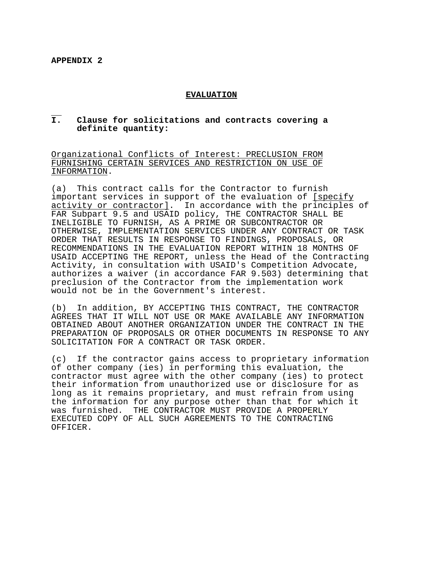## **EVALUATION**

#### $\overline{\tau}$ . **I. Clause for solicitations and contracts covering a definite quantity:**

Organizational Conflicts of Interest: PRECLUSION FROM FURNISHING CERTAIN SERVICES AND RESTRICTION ON USE OF INFORMATION.

(a) This contract calls for the Contractor to furnish important services in support of the evaluation of [specify activity or contractor]. In accordance with the principles of FAR Subpart 9.5 and USAID policy, THE CONTRACTOR SHALL BE INELIGIBLE TO FURNISH, AS A PRIME OR SUBCONTRACTOR OR OTHERWISE, IMPLEMENTATION SERVICES UNDER ANY CONTRACT OR TASK ORDER THAT RESULTS IN RESPONSE TO FINDINGS, PROPOSALS, OR RECOMMENDATIONS IN THE EVALUATION REPORT WITHIN 18 MONTHS OF USAID ACCEPTING THE REPORT, unless the Head of the Contracting Activity, in consultation with USAID's Competition Advocate, authorizes a waiver (in accordance FAR 9.503) determining that preclusion of the Contractor from the implementation work would not be in the Government's interest.

(b) In addition, BY ACCEPTING THIS CONTRACT, THE CONTRACTOR AGREES THAT IT WILL NOT USE OR MAKE AVAILABLE ANY INFORMATION OBTAINED ABOUT ANOTHER ORGANIZATION UNDER THE CONTRACT IN THE PREPARATION OF PROPOSALS OR OTHER DOCUMENTS IN RESPONSE TO ANY SOLICITATION FOR A CONTRACT OR TASK ORDER.

(c) If the contractor gains access to proprietary information of other company (ies) in performing this evaluation, the contractor must agree with the other company (ies) to protect their information from unauthorized use or disclosure for as long as it remains proprietary, and must refrain from using the information for any purpose other than that for which it was furnished. THE CONTRACTOR MUST PROVIDE A PROPERLY EXECUTED COPY OF ALL SUCH AGREEMENTS TO THE CONTRACTING OFFICER.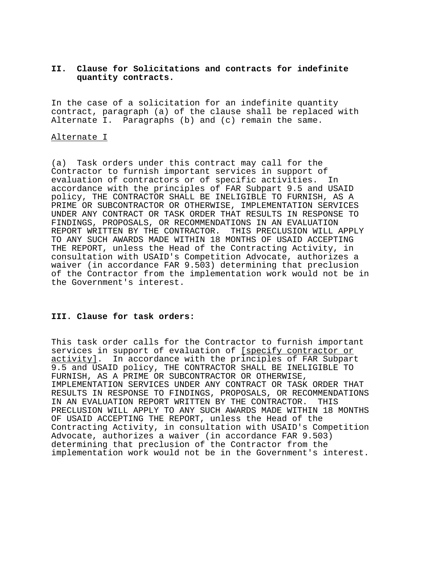## **II. Clause for Solicitations and contracts for indefinite quantity contracts.**

In the case of a solicitation for an indefinite quantity contract, paragraph (a) of the clause shall be replaced with Alternate I. Paragraphs (b) and (c) remain the same.

## Alternate I

(a) Task orders under this contract may call for the Contractor to furnish important services in support of evaluation of contractors or of specific activities. In accordance with the principles of FAR Subpart 9.5 and USAID policy, THE CONTRACTOR SHALL BE INELIGIBLE TO FURNISH, AS A PRIME OR SUBCONTRACTOR OR OTHERWISE, IMPLEMENTATION SERVICES UNDER ANY CONTRACT OR TASK ORDER THAT RESULTS IN RESPONSE TO FINDINGS, PROPOSALS, OR RECOMMENDATIONS IN AN EVALUATION REPORT WRITTEN BY THE CONTRACTOR. THIS PRECLUSION WILL APPLY TO ANY SUCH AWARDS MADE WITHIN 18 MONTHS OF USAID ACCEPTING THE REPORT, unless the Head of the Contracting Activity, in consultation with USAID's Competition Advocate, authorizes a waiver (in accordance FAR 9.503) determining that preclusion of the Contractor from the implementation work would not be in the Government's interest.

# **III. Clause for task orders:**

This task order calls for the Contractor to furnish important services in support of evaluation of [specify contractor or activity]. In accordance with the principles of FAR Subpart 9.5 and USAID policy, THE CONTRACTOR SHALL BE INELIGIBLE TO FURNISH, AS A PRIME OR SUBCONTRACTOR OR OTHERWISE, IMPLEMENTATION SERVICES UNDER ANY CONTRACT OR TASK ORDER THAT RESULTS IN RESPONSE TO FINDINGS, PROPOSALS, OR RECOMMENDATIONS IN AN EVALUATION REPORT WRITTEN BY THE CONTRACTOR. THIS PRECLUSION WILL APPLY TO ANY SUCH AWARDS MADE WITHIN 18 MONTHS OF USAID ACCEPTING THE REPORT, unless the Head of the Contracting Activity, in consultation with USAID's Competition Advocate, authorizes a waiver (in accordance FAR 9.503) determining that preclusion of the Contractor from the implementation work would not be in the Government's interest.